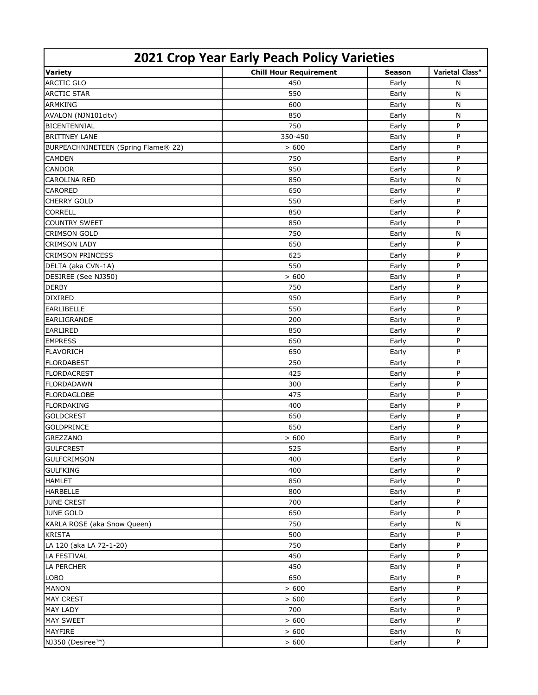| 2021 Crop Year Early Peach Policy Varieties |                               |        |                 |  |  |  |
|---------------------------------------------|-------------------------------|--------|-----------------|--|--|--|
| <b>Variety</b>                              | <b>Chill Hour Requirement</b> | Season | Varietal Class* |  |  |  |
| <b>ARCTIC GLO</b>                           | 450                           | Early  | N               |  |  |  |
| <b>ARCTIC STAR</b>                          | 550                           | Early  | N               |  |  |  |
| <b>ARMKING</b>                              | 600                           | Early  | N               |  |  |  |
| AVALON (NJN101cltv)                         | 850                           | Early  | N               |  |  |  |
| <b>BICENTENNIAL</b>                         | 750                           | Early  | P               |  |  |  |
| <b>BRITTNEY LANE</b>                        | 350-450                       | Early  | P               |  |  |  |
| BURPEACHNINETEEN (Spring Flame® 22)         | > 600                         | Early  | P               |  |  |  |
| <b>CAMDEN</b>                               | 750                           | Early  | P               |  |  |  |
| <b>CANDOR</b>                               | 950                           | Early  | P               |  |  |  |
| <b>CAROLINA RED</b>                         | 850                           | Early  | N               |  |  |  |
| <b>CARORED</b>                              | 650                           | Early  | P               |  |  |  |
| <b>CHERRY GOLD</b>                          | 550                           | Early  | P               |  |  |  |
| <b>CORRELL</b>                              | 850                           | Early  | P               |  |  |  |
| <b>COUNTRY SWEET</b>                        | 850                           | Early  | P               |  |  |  |
| <b>CRIMSON GOLD</b>                         | 750                           | Early  | $\mathsf{N}$    |  |  |  |
| <b>CRIMSON LADY</b>                         | 650                           | Early  | P               |  |  |  |
| <b>CRIMSON PRINCESS</b>                     | 625                           | Early  | P               |  |  |  |
| DELTA (aka CVN-1A)                          | 550                           | Early  | P               |  |  |  |
| DESIREE (See NJ350)                         | > 600                         | Early  | P               |  |  |  |
| <b>DERBY</b>                                | 750                           | Early  | P               |  |  |  |
| <b>DIXIRED</b>                              | 950                           | Early  | P               |  |  |  |
| <b>EARLIBELLE</b>                           | 550                           | Early  | P               |  |  |  |
| <b>EARLIGRANDE</b>                          | 200                           | Early  | P               |  |  |  |
| <b>EARLIRED</b>                             | 850                           | Early  | P               |  |  |  |
| <b>EMPRESS</b>                              | 650                           | Early  | P               |  |  |  |
| <b>FLAVORICH</b>                            | 650                           | Early  | P               |  |  |  |
| <b>FLORDABEST</b>                           | 250                           | Early  | P               |  |  |  |
| <b>FLORDACREST</b>                          | 425                           | Early  | P               |  |  |  |
| <b>FLORDADAWN</b>                           | 300                           | Early  | P               |  |  |  |
| <b>FLORDAGLOBE</b>                          | 475                           | Early  | P               |  |  |  |
| <b>FLORDAKING</b>                           | 400                           | Early  | P               |  |  |  |
| <b>GOLDCREST</b>                            | 650                           | Early  | P               |  |  |  |
| <b>GOLDPRINCE</b>                           | 650                           | Early  | P               |  |  |  |
| <b>GREZZANO</b>                             | > 600                         | Early  | P               |  |  |  |
| <b>GULFCREST</b>                            | 525                           | Early  | P               |  |  |  |
| <b>GULFCRIMSON</b>                          | 400                           | Early  | P               |  |  |  |
| <b>GULFKING</b>                             | 400                           | Early  | P               |  |  |  |
| <b>HAMLET</b>                               | 850                           | Early  | P               |  |  |  |
| <b>HARBELLE</b>                             | 800                           | Early  | P               |  |  |  |
| <b>JUNE CREST</b>                           | 700                           | Early  | P               |  |  |  |
| <b>JUNE GOLD</b>                            | 650                           | Early  | P               |  |  |  |
| KARLA ROSE (aka Snow Queen)                 | 750                           | Early  | $\mathsf{N}$    |  |  |  |
| <b>KRISTA</b>                               | 500                           | Early  | P               |  |  |  |
| LA 120 (aka LA 72-1-20)                     | 750                           | Early  | P               |  |  |  |
| <b>LA FESTIVAL</b>                          | 450                           | Early  | P               |  |  |  |
| <b>LA PERCHER</b>                           | 450                           | Early  | P               |  |  |  |
| <b>LOBO</b>                                 | 650                           | Early  | P               |  |  |  |
| <b>MANON</b>                                | > 600                         | Early  | P               |  |  |  |
| <b>MAY CREST</b>                            | > 600                         | Early  | P               |  |  |  |
| <b>MAY LADY</b>                             | 700                           | Early  | P               |  |  |  |
| <b>MAY SWEET</b>                            | > 600                         | Early  | P               |  |  |  |
| MAYFIRE                                     | > 600                         | Early  | N               |  |  |  |
| NJ350 (Desiree™)                            | > 600                         | Early  | P               |  |  |  |